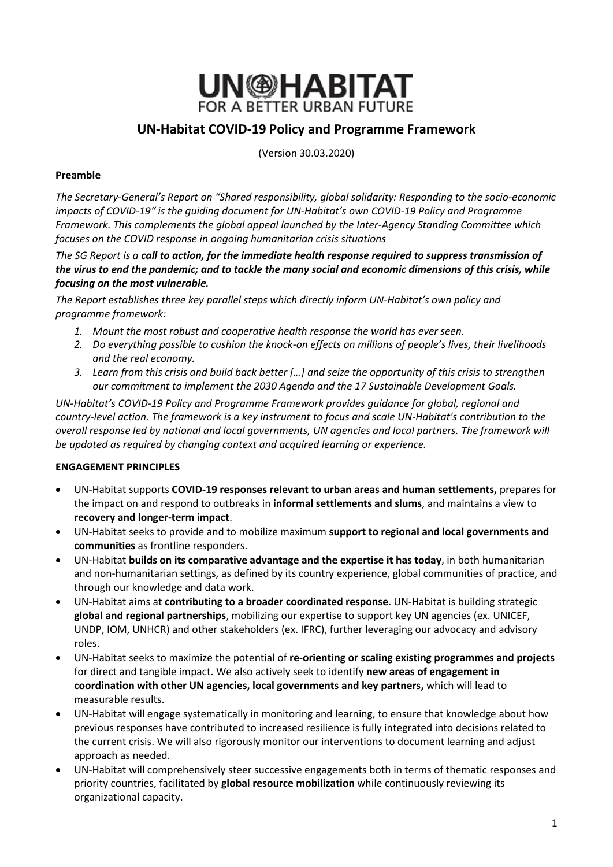

# **UN-Habitat COVID-19 Policy and Programme Framework**

(Version 30.03.2020)

## **Preamble**

*The Secretary-General's Report on "Shared responsibility, global solidarity: Responding to the socio-economic impacts of COVID-19" is the guiding document for UN-Habitat's own COVID-19 Policy and Programme Framework. This complements the global appeal launched by the Inter-Agency Standing Committee which focuses on the COVID response in ongoing humanitarian crisis situations*

*The SG Report is a call to action, for the immediate health response required to suppress transmission of the virus to end the pandemic; and to tackle the many social and economic dimensions of this crisis, while focusing on the most vulnerable.* 

*The Report establishes three key parallel steps which directly inform UN-Habitat's own policy and programme framework:*

- *1. Mount the most robust and cooperative health response the world has ever seen.*
- *2. Do everything possible to cushion the knock-on effects on millions of people's lives, their livelihoods and the real economy.*
- *3. Learn from this crisis and build back better […] and seize the opportunity of this crisis to strengthen our commitment to implement the 2030 Agenda and the 17 Sustainable Development Goals.*

*UN-Habitat's COVID-19 Policy and Programme Framework provides guidance for global, regional and country-level action. The framework is a key instrument to focus and scale UN-Habitat's contribution to the overall response led by national and local governments, UN agencies and local partners. The framework will be updated as required by changing context and acquired learning or experience.* 

# **ENGAGEMENT PRINCIPLES**

- UN-Habitat supports **COVID-19 responses relevant to urban areas and human settlements,** prepares for the impact on and respond to outbreaks in **informal settlements and slums**, and maintains a view to **recovery and longer-term impact**.
- UN-Habitat seeks to provide and to mobilize maximum **support to regional and local governments and communities** as frontline responders.
- UN-Habitat **builds on its comparative advantage and the expertise it has today**, in both humanitarian and non-humanitarian settings, as defined by its country experience, global communities of practice, and through our knowledge and data work.
- UN-Habitat aims at **contributing to a broader coordinated response**. UN-Habitat is building strategic **global and regional partnerships**, mobilizing our expertise to support key UN agencies (ex. UNICEF, UNDP, IOM, UNHCR) and other stakeholders (ex. IFRC), further leveraging our advocacy and advisory roles.
- UN-Habitat seeks to maximize the potential of **re-orienting or scaling existing programmes and projects** for direct and tangible impact. We also actively seek to identify **new areas of engagement in coordination with other UN agencies, local governments and key partners,** which will lead to measurable results.
- UN-Habitat will engage systematically in monitoring and learning, to ensure that knowledge about how previous responses have contributed to increased resilience is fully integrated into decisions related to the current crisis. We will also rigorously monitor our interventions to document learning and adjust approach as needed.
- UN-Habitat will comprehensively steer successive engagements both in terms of thematic responses and priority countries, facilitated by **global resource mobilization** while continuously reviewing its organizational capacity.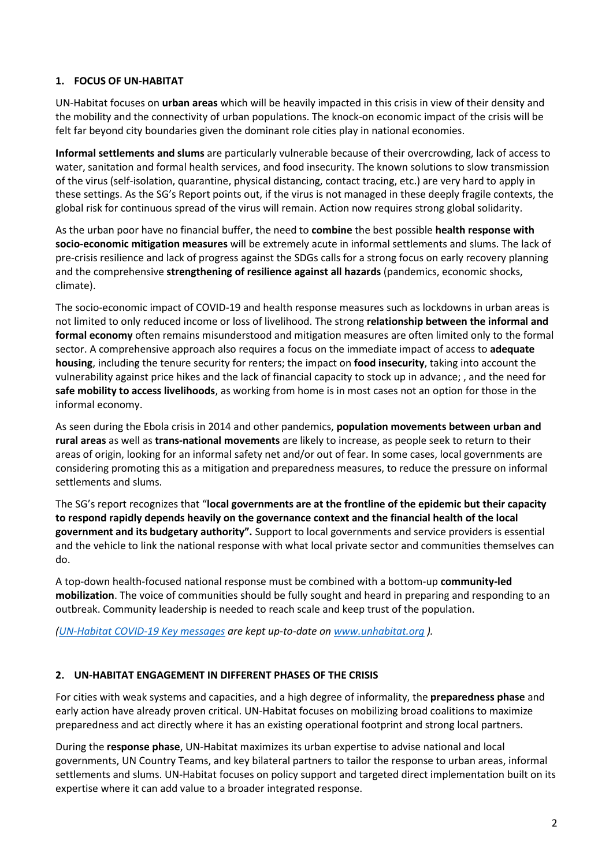# **1. FOCUS OF UN-HABITAT**

UN-Habitat focuses on **urban areas** which will be heavily impacted in this crisis in view of their density and the mobility and the connectivity of urban populations. The knock-on economic impact of the crisis will be felt far beyond city boundaries given the dominant role cities play in national economies.

**Informal settlements and slums** are particularly vulnerable because of their overcrowding, lack of access to water, sanitation and formal health services, and food insecurity. The known solutions to slow transmission of the virus (self-isolation, quarantine, physical distancing, contact tracing, etc.) are very hard to apply in these settings. As the SG's Report points out, if the virus is not managed in these deeply fragile contexts, the global risk for continuous spread of the virus will remain. Action now requires strong global solidarity.

As the urban poor have no financial buffer, the need to **combine** the best possible **health response with socio-economic mitigation measures** will be extremely acute in informal settlements and slums. The lack of pre-crisis resilience and lack of progress against the SDGs calls for a strong focus on early recovery planning and the comprehensive **strengthening of resilience against all hazards** (pandemics, economic shocks, climate).

The socio-economic impact of COVID-19 and health response measures such as lockdowns in urban areas is not limited to only reduced income or loss of livelihood. The strong **relationship between the informal and formal economy** often remains misunderstood and mitigation measures are often limited only to the formal sector. A comprehensive approach also requires a focus on the immediate impact of access to **adequate housing**, including the tenure security for renters; the impact on **food insecurity**, taking into account the vulnerability against price hikes and the lack of financial capacity to stock up in advance; , and the need for **safe mobility to access livelihoods**, as working from home is in most cases not an option for those in the informal economy.

As seen during the Ebola crisis in 2014 and other pandemics, **population movements between urban and rural areas** as well as **trans-national movements** are likely to increase, as people seek to return to their areas of origin, looking for an informal safety net and/or out of fear. In some cases, local governments are considering promoting this as a mitigation and preparedness measures, to reduce the pressure on informal settlements and slums.

The SG's report recognizes that "**local governments are at the frontline of the epidemic but their capacity to respond rapidly depends heavily on the governance context and the financial health of the local government and its budgetary authority".** Support to local governments and service providers is essential and the vehicle to link the national response with what local private sector and communities themselves can do.

A top-down health-focused national response must be combined with a bottom-up **community-led mobilization**. The voice of communities should be fully sought and heard in preparing and responding to an outbreak. Community leadership is needed to reach scale and keep trust of the population.

*[\(UN-Habitat COVID-19 Key messages](https://unhabitat.org/sites/default/files/2020/03/covid19_key_messages_eng_1.pdf) are kept up-to-date on [www.unhabitat.org](http://www.unhabitat.org/) ).*

#### **2. UN-HABITAT ENGAGEMENT IN DIFFERENT PHASES OF THE CRISIS**

For cities with weak systems and capacities, and a high degree of informality, the **preparedness phase** and early action have already proven critical. UN-Habitat focuses on mobilizing broad coalitions to maximize preparedness and act directly where it has an existing operational footprint and strong local partners.

During the **response phase**, UN-Habitat maximizes its urban expertise to advise national and local governments, UN Country Teams, and key bilateral partners to tailor the response to urban areas, informal settlements and slums. UN-Habitat focuses on policy support and targeted direct implementation built on its expertise where it can add value to a broader integrated response.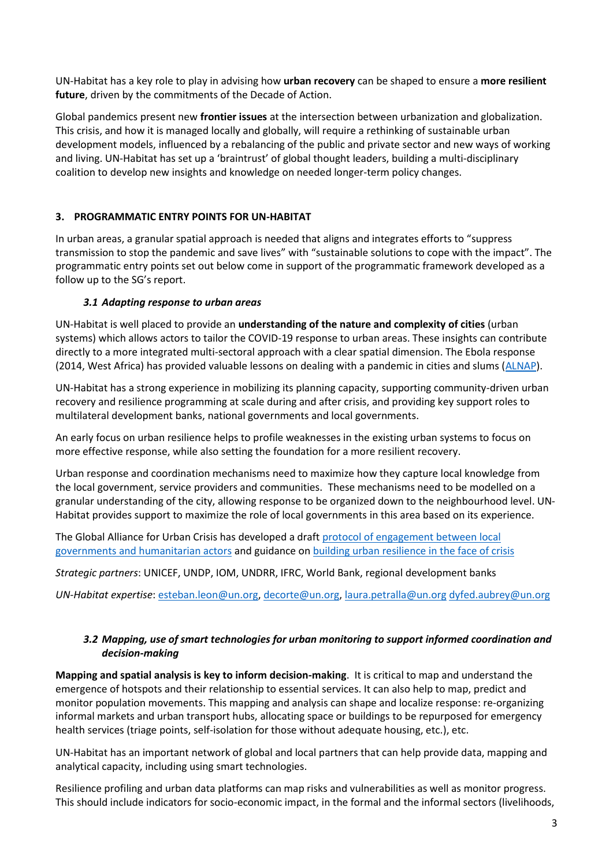UN-Habitat has a key role to play in advising how **urban recovery** can be shaped to ensure a **more resilient future**, driven by the commitments of the Decade of Action.

Global pandemics present new **frontier issues** at the intersection between urbanization and globalization. This crisis, and how it is managed locally and globally, will require a rethinking of sustainable urban development models, influenced by a rebalancing of the public and private sector and new ways of working and living. UN-Habitat has set up a 'braintrust' of global thought leaders, building a multi-disciplinary coalition to develop new insights and knowledge on needed longer-term policy changes.

# **3. PROGRAMMATIC ENTRY POINTS FOR UN-HABITAT**

In urban areas, a granular spatial approach is needed that aligns and integrates efforts to "suppress transmission to stop the pandemic and save lives" with "sustainable solutions to cope with the impact". The programmatic entry points set out below come in support of the programmatic framework developed as a follow up to the SG's report.

# *3.1 Adapting response to urban areas*

UN-Habitat is well placed to provide an **understanding of the nature and complexity of cities** (urban systems) which allows actors to tailor the COVID-19 response to urban areas. These insights can contribute directly to a more integrated multi-sectoral approach with a clear spatial dimension. The Ebola response (2014, West Africa) has provided valuable lessons on dealing with a pandemic in cities and slums [\(ALNAP\)](https://www.alnap.org/help-library/learning-from-the-ebola-response-in-cities-population-movement).

UN-Habitat has a strong experience in mobilizing its planning capacity, supporting community-driven urban recovery and resilience programming at scale during and after crisis, and providing key support roles to multilateral development banks, national governments and local governments.

An early focus on urban resilience helps to profile weaknesses in the existing urban systems to focus on more effective response, while also setting the foundation for a more resilient recovery.

Urban response and coordination mechanisms need to maximize how they capture local knowledge from the local government, service providers and communities. These mechanisms need to be modelled on a granular understanding of the city, allowing response to be organized down to the neighbourhood level. UN-Habitat provides support to maximize the role of local governments in this area based on its experience.

The Global Alliance for Urban Crisis has developed a draft [protocol of engagement between local](http://urbancrises.org/wp-content/uploads/2019/02/5.-GUIDANCE-NOTE-Protocol-of-Engagement-Document-JD-060219.pdf)  [governments and humanitarian actors](http://urbancrises.org/wp-content/uploads/2019/02/5.-GUIDANCE-NOTE-Protocol-of-Engagement-Document-JD-060219.pdf) and guidance on [building urban resilience in the face of crisis](http://urbancrises.org/wp-content/uploads/2019/02/4.-Building-Urban-Resilience-in-the-Face-of-Crisis.pdf)

*Strategic partners*: UNICEF, UNDP, IOM, UNDRR, IFRC, World Bank, regional development banks

*UN-Habitat expertise*[: esteban.leon@un.org,](mailto:esteban.leon@un.org) [decorte@un.org,](mailto:decorte@un.org) [laura.petralla@un.org](mailto:laura.petralla@un.org) [dyfed.aubrey@un.org](mailto:dyfed.aubrey@un.org)

# *3.2 Mapping, use of smart technologies for urban monitoring to support informed coordination and decision-making*

**Mapping and spatial analysis is key to inform decision-making**. It is critical to map and understand the emergence of hotspots and their relationship to essential services. It can also help to map, predict and monitor population movements. This mapping and analysis can shape and localize response: re-organizing informal markets and urban transport hubs, allocating space or buildings to be repurposed for emergency health services (triage points, self-isolation for those without adequate housing, etc.), etc.

UN-Habitat has an important network of global and local partners that can help provide data, mapping and analytical capacity, including using smart technologies.

Resilience profiling and urban data platforms can map risks and vulnerabilities as well as monitor progress. This should include indicators for socio-economic impact, in the formal and the informal sectors (livelihoods,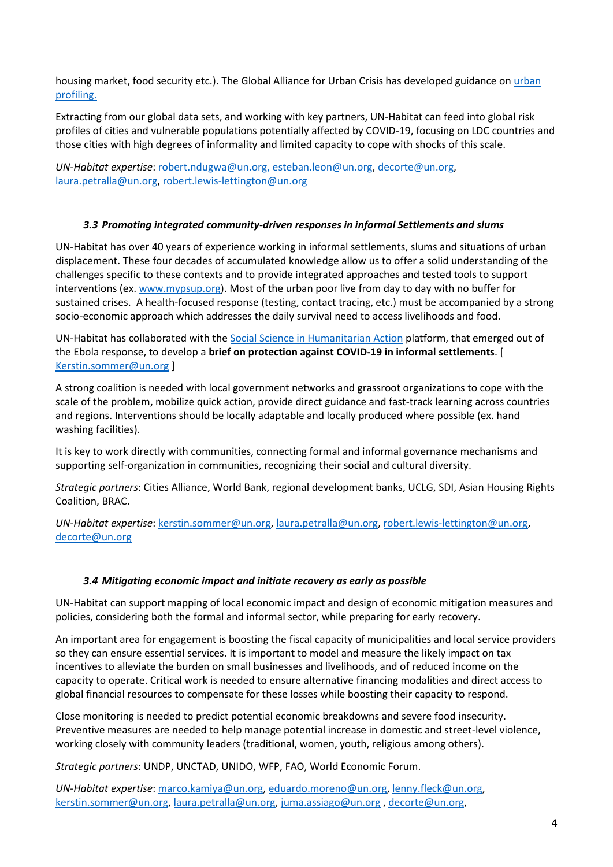housing market, food security etc.). The Global Alliance for Urban Crisis has developed guidance on [urban](http://urbancrises.org/wp-content/uploads/2019/02/1.-Urban-Profiling-For-Better-Responses-to-Humanitarian-Crises-1.pdf)  [profiling.](http://urbancrises.org/wp-content/uploads/2019/02/1.-Urban-Profiling-For-Better-Responses-to-Humanitarian-Crises-1.pdf)

Extracting from our global data sets, and working with key partners, UN-Habitat can feed into global risk profiles of cities and vulnerable populations potentially affected by COVID-19, focusing on LDC countries and those cities with high degrees of informality and limited capacity to cope with shocks of this scale.

*UN-Habitat expertise*[: robert.ndugwa@un.org,](mailto:robert.ndugwa@un.org) [esteban.leon@un.org,](mailto:esteban.leon@un.org) [decorte@un.org,](mailto:decorte@un.org) [laura.petralla@un.org,](mailto:laura.petralla@un.org) [robert.lewis-lettington@un.org](mailto:robert.lewis-lettington@un.org)

# *3.3 Promoting integrated community-driven responses in informal Settlements and slums*

UN-Habitat has over 40 years of experience working in informal settlements, slums and situations of urban displacement. These four decades of accumulated knowledge allow us to offer a solid understanding of the challenges specific to these contexts and to provide integrated approaches and tested tools to support interventions (ex. [www.mypsup.org\)](http://www.mypsup.org/). Most of the urban poor live from day to day with no buffer for sustained crises. A health-focused response (testing, contact tracing, etc.) must be accompanied by a strong socio-economic approach which addresses the daily survival need to access livelihoods and food.

UN-Habitat has collaborated with th[e Social Science in Humanitarian Action](https://www.socialscienceinaction.org/update-novel-covid-19-outbreak/) platform, that emerged out of the Ebola response, to develop a **brief on protection against COVID-19 in informal settlements**. [ [Kerstin.sommer@un.org](mailto:Kerstin.sommer@un.org) ]

A strong coalition is needed with local government networks and grassroot organizations to cope with the scale of the problem, mobilize quick action, provide direct guidance and fast-track learning across countries and regions. Interventions should be locally adaptable and locally produced where possible (ex. hand washing facilities).

It is key to work directly with communities, connecting formal and informal governance mechanisms and supporting self-organization in communities, recognizing their social and cultural diversity.

*Strategic partners*: Cities Alliance, World Bank, regional development banks, UCLG, SDI, Asian Housing Rights Coalition, BRAC.

*UN-Habitat expertise*[: kerstin.sommer@un.org,](mailto:kerstin.sommer@un.org) [laura.petralla@un.org,](mailto:laura.petralla@un.org) [robert.lewis-lettington@un.org,](mailto:robert.lewis-lettington@un.org) [decorte@un.org](mailto:decorte@un.org)

#### *3.4 Mitigating economic impact and initiate recovery as early as possible*

UN-Habitat can support mapping of local economic impact and design of economic mitigation measures and policies, considering both the formal and informal sector, while preparing for early recovery.

An important area for engagement is boosting the fiscal capacity of municipalities and local service providers so they can ensure essential services. It is important to model and measure the likely impact on tax incentives to alleviate the burden on small businesses and livelihoods, and of reduced income on the capacity to operate. Critical work is needed to ensure alternative financing modalities and direct access to global financial resources to compensate for these losses while boosting their capacity to respond.

Close monitoring is needed to predict potential economic breakdowns and severe food insecurity. Preventive measures are needed to help manage potential increase in domestic and street-level violence, working closely with community leaders (traditional, women, youth, religious among others).

*Strategic partners*: UNDP, UNCTAD, UNIDO, WFP, FAO, World Economic Forum.

*UN-Habitat expertise*[: marco.kamiya@un.org,](mailto:marco.kamiya@un.org) [eduardo.moreno@un.org,](mailto:eduardo.moreno@un.org) [lenny.fleck@un.org,](mailto:lenny.fleck@un.org) [kerstin.sommer@un.org,](mailto:kerstin.sommer@un.org) [laura.petralla@un.org,](mailto:laura.petralla@un.org) [juma.assiago@un.org](mailto:juma.assiago@un.org) , [decorte@un.org,](mailto:decorte@un.org)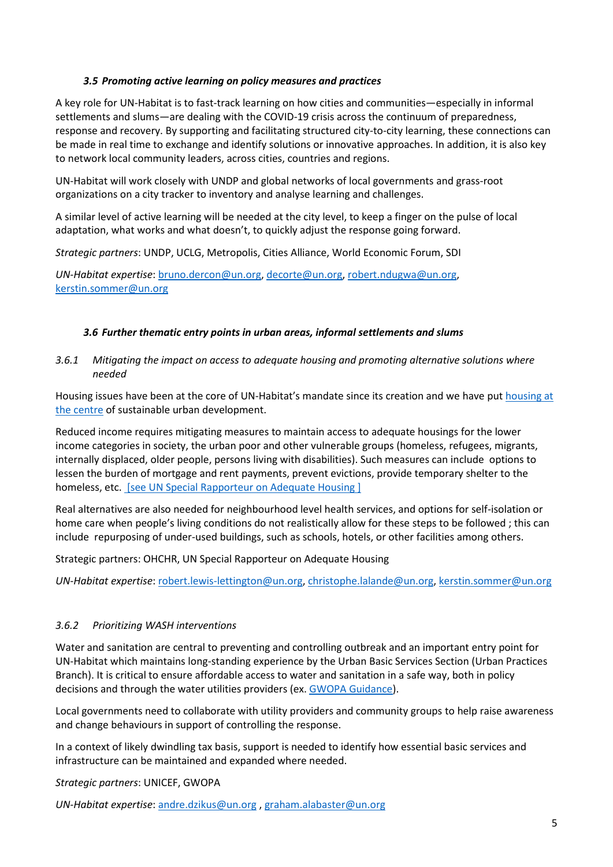## *3.5 Promoting active learning on policy measures and practices*

A key role for UN-Habitat is to fast-track learning on how cities and communities—especially in informal settlements and slums—are dealing with the COVID-19 crisis across the continuum of preparedness, response and recovery. By supporting and facilitating structured city-to-city learning, these connections can be made in real time to exchange and identify solutions or innovative approaches. In addition, it is also key to network local community leaders, across cities, countries and regions.

UN-Habitat will work closely with UNDP and global networks of local governments and grass-root organizations on a city tracker to inventory and analyse learning and challenges.

A similar level of active learning will be needed at the city level, to keep a finger on the pulse of local adaptation, what works and what doesn't, to quickly adjust the response going forward.

*Strategic partners*: UNDP, UCLG, Metropolis, Cities Alliance, World Economic Forum, SDI

*UN-Habitat expertise*[: bruno.dercon@un.org,](mailto:bruno.dercon@un.org) [decorte@un.org,](mailto:decorte@un.org) [robert.ndugwa@un.org,](mailto:robert.ndugwa@un.org) [kerstin.sommer@un.org](mailto:kerstin.sommer@un.org)

## *3.6 Further thematic entry points in urban areas, informal settlements and slums*

*3.6.1 Mitigating the impact on access to adequate housing and promoting alternative solutions where needed*

Housing issues have been at the core of UN-Habitat's mandate since its creation and we have put [housing at](https://unhabitat.org/housing-at-the-centre-of-the-new-urban-agenda) [the centre](https://unhabitat.org/housing-at-the-centre-of-the-new-urban-agenda) of sustainable urban development.

Reduced income requires mitigating measures to maintain access to adequate housings for the lower income categories in society, the urban poor and other vulnerable groups (homeless, refugees, migrants, internally displaced, older people, persons living with disabilities). Such measures can include options to lessen the burden of mortgage and rent payments, prevent evictions, provide temporary shelter to the homeless, etc[. \[see UN Special Rapporteur on Adequate Housing \]](https://www.ohchr.org/EN/NewsEvents/Pages/DisplayNews.aspx?NewsID=25727&LangID=E)

Real alternatives are also needed for neighbourhood level health services, and options for self-isolation or home care when people's living conditions do not realistically allow for these steps to be followed ; this can include repurposing of under-used buildings, such as schools, hotels, or other facilities among others.

Strategic partners: OHCHR, UN Special Rapporteur on Adequate Housing

*UN-Habitat expertise*[: robert.lewis-lettington@un.org,](mailto:robert.lewis-lettington@un.org) [christophe.lalande@un.org,](mailto:christophe.lalande@un.org) [kerstin.sommer@un.org](mailto:kerstin.sommer@un.org)

# *3.6.2 Prioritizing WASH interventions*

Water and sanitation are central to preventing and controlling outbreak and an important entry point for UN-Habitat which maintains long-standing experience by the Urban Basic Services Section (Urban Practices Branch). It is critical to ensure affordable access to water and sanitation in a safe way, both in policy decisions and through the water utilities providers (ex. [GWOPA Guidance\)](https://gwopa.org/what-water-and-sanitation-operators-can-do-in-the-fight-against-covid-19/).

Local governments need to collaborate with utility providers and community groups to help raise awareness and change behaviours in support of controlling the response.

In a context of likely dwindling tax basis, support is needed to identify how essential basic services and infrastructure can be maintained and expanded where needed.

*Strategic partners*: UNICEF, GWOPA

*UN-Habitat expertise*[: andre.dzikus@un.org](mailto:andre.dzikus@un.org) , [graham.alabaster@un.org](mailto:graham.alabaster@un.org)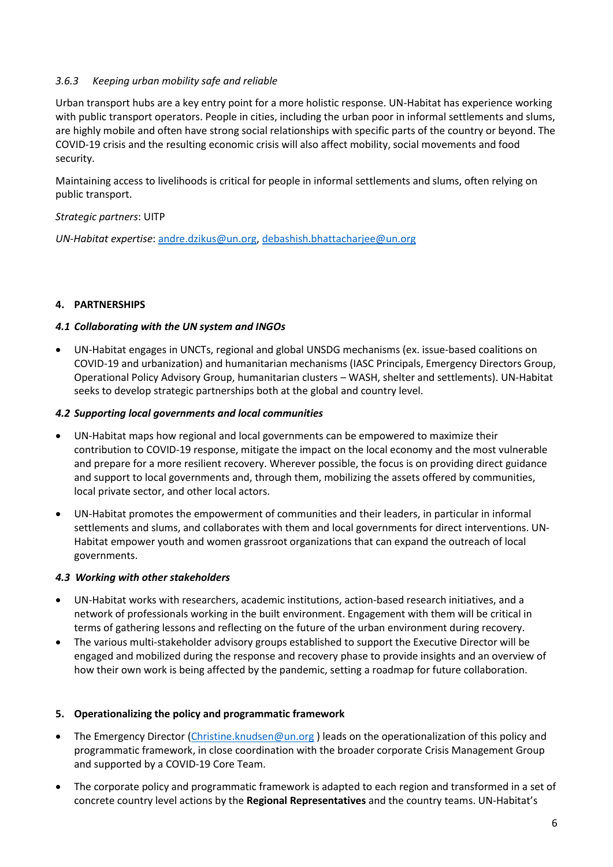## *3.6.3 Keeping urban mobility safe and reliable*

Urban transport hubs are a key entry point for a more holistic response. UN-Habitat has experience working with public transport operators. People in cities, including the urban poor in informal settlements and slums, are highly mobile and often have strong social relationships with specific parts of the country or beyond. The COVID-19 crisis and the resulting economic crisis will also affect mobility, social movements and food security.

Maintaining access to livelihoods is critical for people in informal settlements and slums, often relying on public transport.

## *Strategic partners*: UITP

*UN-Habitat expertise*[: andre.dzikus@un.org,](mailto:andre.dzikus@un.org) [debashish.bhattacharjee@un.org](mailto:debashish.bhattacharjee@un.org)

## **4. PARTNERSHIPS**

## *4.1 Collaborating with the UN system and INGOs*

• UN-Habitat engages in UNCTs, regional and global UNSDG mechanisms (ex. issue-based coalitions on COVID-19 and urbanization) and humanitarian mechanisms (IASC Principals, Emergency Directors Group, Operational Policy Advisory Group, humanitarian clusters – WASH, shelter and settlements). UN-Habitat seeks to develop strategic partnerships both at the global and country level.

#### *4.2 Supporting local governments and local communities*

- UN-Habitat maps how regional and local governments can be empowered to maximize their contribution to COVID-19 response, mitigate the impact on the local economy and the most vulnerable and prepare for a more resilient recovery. Wherever possible, the focus is on providing direct guidance and support to local governments and, through them, mobilizing the assets offered by communities, local private sector, and other local actors.
- UN-Habitat promotes the empowerment of communities and their leaders, in particular in informal settlements and slums, and collaborates with them and local governments for direct interventions. UN-Habitat empower youth and women grassroot organizations that can expand the outreach of local governments.

#### *4.3 Working with other stakeholders*

- UN-Habitat works with researchers, academic institutions, action-based research initiatives, and a network of professionals working in the built environment. Engagement with them will be critical in terms of gathering lessons and reflecting on the future of the urban environment during recovery.
- The various multi-stakeholder advisory groups established to support the Executive Director will be engaged and mobilized during the response and recovery phase to provide insights and an overview of how their own work is being affected by the pandemic, setting a roadmap for future collaboration.

#### **5. Operationalizing the policy and programmatic framework**

- The Emergency Director [\(Christine.knudsen@un.org](mailto:Christine.knudsen@un.org) ) leads on the operationalization of this policy and programmatic framework, in close coordination with the broader corporate Crisis Management Group and supported by a COVID-19 Core Team.
- The corporate policy and programmatic framework is adapted to each region and transformed in a set of concrete country level actions by the **Regional Representatives** and the country teams. UN-Habitat's